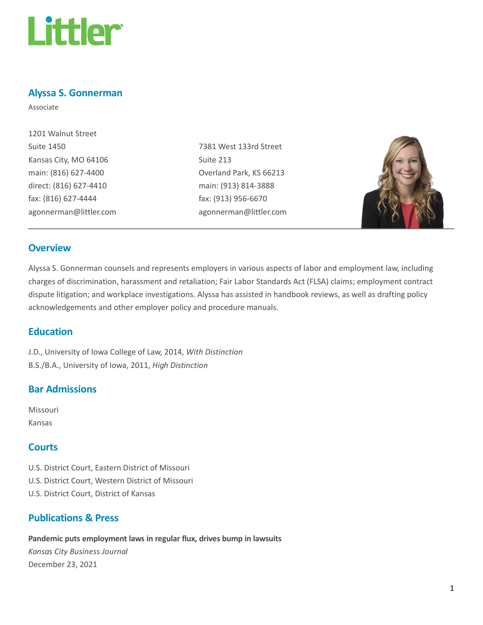

### Alyssa S. Gonnerman

Associate

| 1201 Walnut Street     |
|------------------------|
| <b>Suite 1450</b>      |
| Kansas City, MO 64106  |
| main: (816) 627-4400   |
| direct: (816) 627-4410 |
| fax: (816) 627-4444    |
| agonnerman@littler.com |

7381 West 133rd Street Suite 213 Overland Park, KS 66213 main: (913) 814-3888 fax: (913) 956-6670 agonnerman@littler.com



#### **Overview**

Alyssa S. Gonnerman counsels and represents employers in various aspects of labor and employment law, including charges of discrimination, harassment and retaliation; Fair Labor Standards Act (FLSA) claims; employment contract dispute litigation; and workplace investigations. Alyssa has assisted in handbook reviews, as well as drafting policy acknowledgements and other employer policy and procedure manuals.

### **Education**

J.D., University of Iowa College of Law, 2014, With Distinction B.S./B.A., University of Iowa, 2011, High Distinction

### Bar Admissions

Missouri Kansas

### **Courts**

U.S. District Court, Eastern District of Missouri U.S. District Court, Western District of Missouri U.S. District Court, District of Kansas

# Publications & Press

Pandemic puts employment laws in regular flux, drives bump in lawsuits

Kansas City Business Journal December 23, 2021